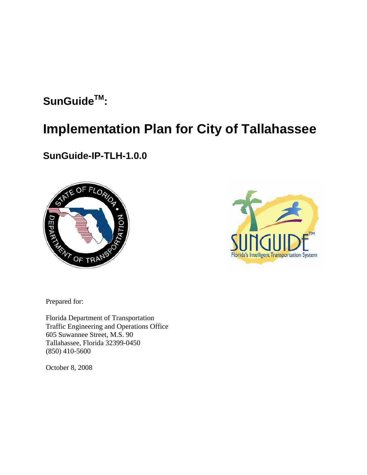# **SunGuideTM:**

# **Implementation Plan for City of Tallahassee**

# **SunGuide-IP-TLH-1.0.0**





Prepared for:

Florida Department of Transportation Traffic Engineering and Operations Office 605 Suwannee Street, M.S. 90 Tallahassee, Florida 32399-0450 (850) 410-5600

October 8, 2008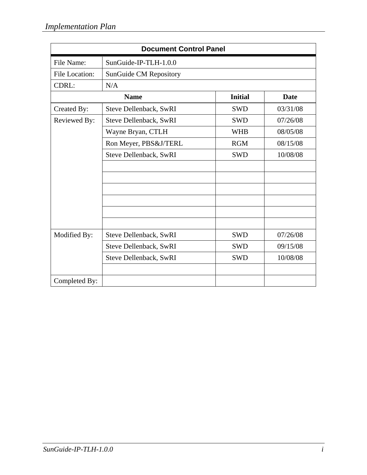| <b>Document Control Panel</b> |                               |                |          |
|-------------------------------|-------------------------------|----------------|----------|
| File Name:                    | SunGuide-IP-TLH-1.0.0         |                |          |
| File Location:                | <b>SunGuide CM Repository</b> |                |          |
| CDRL:                         | N/A                           |                |          |
|                               | <b>Name</b>                   | <b>Initial</b> | Date     |
| Created By:                   | Steve Dellenback, SwRI        | <b>SWD</b>     | 03/31/08 |
| Reviewed By:                  | Steve Dellenback, SwRI        | <b>SWD</b>     | 07/26/08 |
|                               | Wayne Bryan, CTLH             | <b>WHB</b>     | 08/05/08 |
|                               | Ron Meyer, PBS&J/TERL         | <b>RGM</b>     | 08/15/08 |
|                               | Steve Dellenback, SwRI        | <b>SWD</b>     | 10/08/08 |
|                               |                               |                |          |
|                               |                               |                |          |
|                               |                               |                |          |
|                               |                               |                |          |
|                               |                               |                |          |
|                               |                               |                |          |
| Modified By:                  | Steve Dellenback, SwRI        | <b>SWD</b>     | 07/26/08 |
|                               | Steve Dellenback, SwRI        | <b>SWD</b>     | 09/15/08 |
|                               | Steve Dellenback, SwRI        | <b>SWD</b>     | 10/08/08 |
|                               |                               |                |          |
| Completed By:                 |                               |                |          |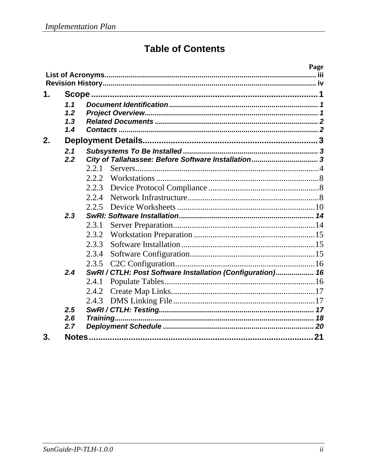# **Table of Contents**

| 1.<br>1.1<br>1.2<br>1.3<br>1.4                                    |    |
|-------------------------------------------------------------------|----|
|                                                                   |    |
|                                                                   |    |
|                                                                   |    |
|                                                                   |    |
|                                                                   |    |
|                                                                   |    |
|                                                                   |    |
| 2.                                                                |    |
| 2.1                                                               |    |
| 2.2<br>City of Tallahassee: Before Software Installation 3        |    |
| 2.2.1                                                             |    |
| 2.2.2                                                             |    |
| 2.2.3                                                             |    |
| 2.2.4                                                             |    |
| 2.2.5                                                             |    |
| 2.3                                                               |    |
| 2.3.1                                                             |    |
| 2.3.2                                                             |    |
| 2.3.3                                                             |    |
| 2.3.4                                                             |    |
| 2.3.5                                                             |    |
| 2.4<br>SwRI / CTLH: Post Software Installation (Configuration) 16 |    |
| 2.4.1                                                             |    |
| 2.4.2                                                             |    |
| 2.4.3                                                             |    |
| 2.5                                                               |    |
| 2.6<br>Training                                                   |    |
| 2.7                                                               |    |
| 3.                                                                | 21 |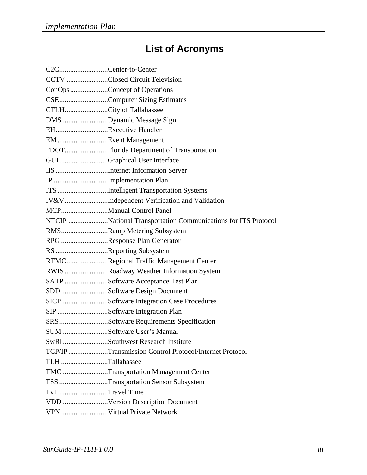# **List of Acronyms**

| C2CCenter-to-Center     |                                                               |
|-------------------------|---------------------------------------------------------------|
|                         | CCTV Closed Circuit Television                                |
|                         | ConOpsConcept of Operations                                   |
|                         | CSEComputer Sizing Estimates                                  |
| CTLHCity of Tallahassee |                                                               |
|                         | DMS Dynamic Message Sign                                      |
| EHExecutive Handler     |                                                               |
| EM Event Management     |                                                               |
|                         | FDOTFlorida Department of Transportation                      |
|                         | GUIGraphical User Interface                                   |
|                         | IIS Internet Information Server                               |
|                         | IP Implementation Plan                                        |
|                         | ITS Intelligent Transportation Systems                        |
|                         | IV&VIndependent Verification and Validation                   |
|                         |                                                               |
|                         | NTCIP National Transportation Communications for ITS Protocol |
|                         | RMSRamp Metering Subsystem                                    |
|                         | RPG Response Plan Generator                                   |
|                         | RS Reporting Subsystem                                        |
|                         | RTMCRegional Traffic Management Center                        |
|                         | RWIS Roadway Weather Information System                       |
|                         | SATP Software Acceptance Test Plan                            |
|                         | SDD Software Design Document                                  |
|                         | SICPSoftware Integration Case Procedures                      |
|                         | SIP Software Integration Plan                                 |
|                         | SRSSoftware Requirements Specification                        |
|                         | SUM Software User's Manual                                    |
|                         | SwRISouthwest Research Institute                              |
|                         | TCP/IP Transmission Control Protocol/Internet Protocol        |
| TLH Tallahassee         |                                                               |
|                         | TMC Transportation Management Center                          |
|                         | TSS Transportation Sensor Subsystem                           |
| TvTTravel Time          |                                                               |
|                         | VDD Version Description Document                              |
|                         | VPN Virtual Private Network                                   |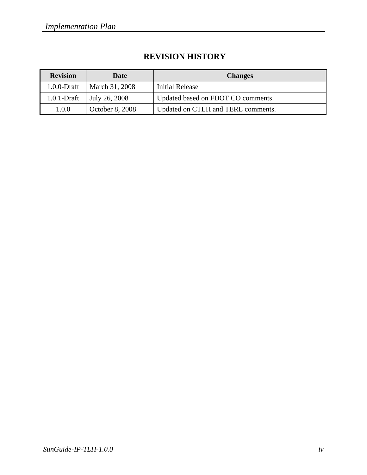## **REVISION HISTORY**

| <b>Revision</b> | <b>Date</b>     | <b>Changes</b>                     |
|-----------------|-----------------|------------------------------------|
| $1.0.0$ -Draft  | March 31, 2008  | Initial Release                    |
| $1.0.1$ -Draft  | July 26, 2008   | Updated based on FDOT CO comments. |
| 1.0.0           | October 8, 2008 | Updated on CTLH and TERL comments. |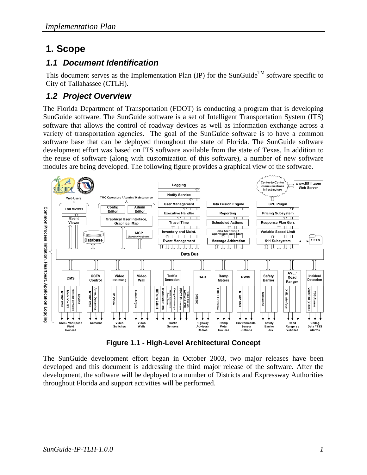# **1. Scope**

# *1.1 Document Identification*

This document serves as the Implementation Plan (IP) for the SunGuide<sup>TM</sup> software specific to City of Tallahassee (CTLH).

# *1.2 Project Overview*

The Florida Department of Transportation (FDOT) is conducting a program that is developing SunGuide software. The SunGuide software is a set of Intelligent Transportation System (ITS) software that allows the control of roadway devices as well as information exchange across a variety of transportation agencies. The goal of the SunGuide software is to have a common software base that can be deployed throughout the state of Florida. The SunGuide software development effort was based on ITS software available from the state of Texas. In addition to the reuse of software (along with customization of this software), a number of new software modules are being developed. The following figure provides a graphical view of the software.



**Figure 1.1 - High-Level Architectural Concept** 

The SunGuide development effort began in October 2003, two major releases have been developed and this document is addressing the third major release of the software. After the development, the software will be deployed to a number of Districts and Expressway Authorities throughout Florida and support activities will be performed.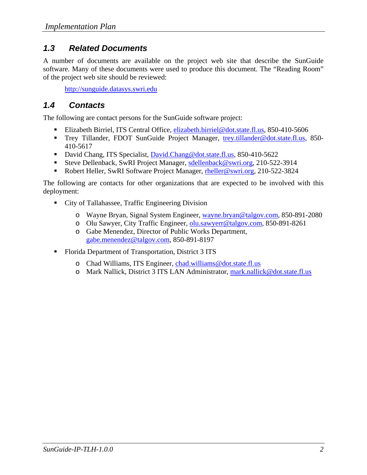### *1.3 Related Documents*

A number of documents are available on the project web site that describe the SunGuide software. Many of these documents were used to produce this document. The "Reading Room" of the project web site should be reviewed:

http://sunguide.datasys.swri.edu

### *1.4 Contacts*

The following are contact persons for the SunGuide software project:

- Elizabeth Birriel, ITS Central Office, elizabeth.birriel@dot.state.fl.us, 850-410-5606
- Trey Tillander, FDOT SunGuide Project Manager, trey.tillander@dot.state.fl.us, 850-410-5617
- David Chang, ITS Specialist, David.Chang@dot.state.fl.us, 850-410-5622
- Steve Dellenback, SwRI Project Manager, sdellenback@swri.org, 210-522-3914
- Robert Heller, SwRI Software Project Manager, rheller@swri.org, 210-522-3824

The following are contacts for other organizations that are expected to be involved with this deployment:

- City of Tallahassee, Traffic Engineering Division
	- o Wayne Bryan, Signal System Engineer, wayne.bryan@talgov.com, 850-891-2080
	- o Olu Sawyer, City Traffic Engineer, olu.sawyerr@talgov.com, 850-891-8261
	- o Gabe Menendez, Director of Public Works Department, gabe.menendez@talgov.com, 850-891-8197
- Florida Department of Transportation, District 3 ITS
	- o Chad Williams, ITS Engineer, chad.williams@dot.state.fl.us
	- o Mark Nallick, District 3 ITS LAN Administrator, mark.nallick@dot.state.fl.us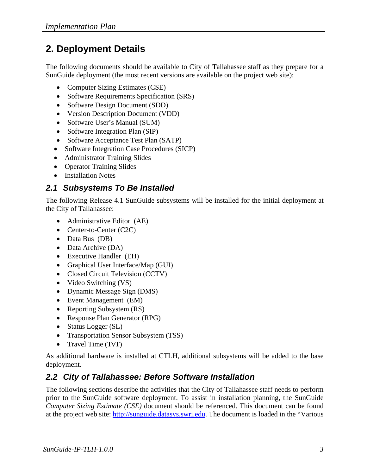# **2. Deployment Details**

The following documents should be available to City of Tallahassee staff as they prepare for a SunGuide deployment (the most recent versions are available on the project web site):

- Computer Sizing Estimates (CSE)
- Software Requirements Specification (SRS)
- Software Design Document (SDD)
- Version Description Document (VDD)
- Software User's Manual (SUM)
- Software Integration Plan (SIP)
- Software Acceptance Test Plan (SATP)
- Software Integration Case Procedures (SICP)
- Administrator Training Slides
- Operator Training Slides
- Installation Notes

# *2.1 Subsystems To Be Installed*

The following Release 4.1 SunGuide subsystems will be installed for the initial deployment at the City of Tallahassee:

- Administrative Editor (AE)
- Center-to-Center (C2C)
- Data Bus (DB)
- Data Archive (DA)
- Executive Handler (EH)
- Graphical User Interface/Map (GUI)
- Closed Circuit Television (CCTV)
- Video Switching (VS)
- Dynamic Message Sign (DMS)
- Event Management (EM)
- Reporting Subsystem (RS)
- Response Plan Generator (RPG)
- Status Logger (SL)
- Transportation Sensor Subsystem (TSS)
- Travel Time (TvT)

As additional hardware is installed at CTLH, additional subsystems will be added to the base deployment.

# *2.2 City of Tallahassee: Before Software Installation*

The following sections describe the activities that the City of Tallahassee staff needs to perform prior to the SunGuide software deployment. To assist in installation planning, the SunGuide *Computer Sizing Estimate (CSE)* document should be referenced. This document can be found at the project web site: http://sunguide.datasys.swri.edu. The document is loaded in the "Various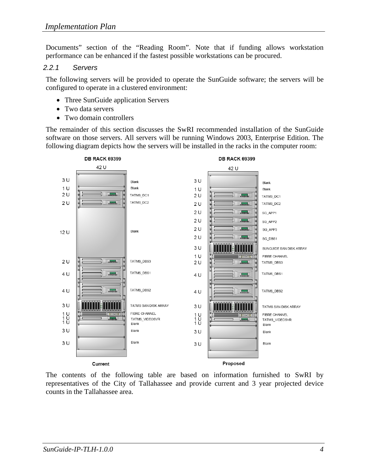Documents" section of the "Reading Room". Note that if funding allows workstation performance can be enhanced if the fastest possible workstations can be procured.

#### *2.2.1 Servers*

The following servers will be provided to operate the SunGuide software; the servers will be configured to operate in a clustered environment:

- Three SunGuide application Servers
- Two data servers
- Two domain controllers

The remainder of this section discusses the SwRI recommended installation of the SunGuide software on those servers. All servers will be running Windows 2003, Enterprise Edition. The following diagram depicts how the servers will be installed in the racks in the computer room:



The contents of the following table are based on information furnished to SwRI by representatives of the City of Tallahassee and provide current and 3 year projected device counts in the Tallahassee area.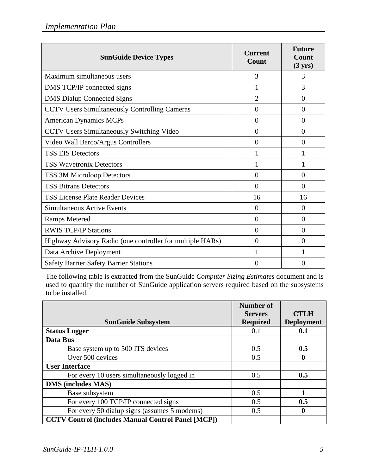| <b>SunGuide Device Types</b>                              | <b>Current</b><br>Count | <b>Future</b><br>Count<br>$(3 \text{ yrs})$ |
|-----------------------------------------------------------|-------------------------|---------------------------------------------|
| Maximum simultaneous users                                | 3                       | 3                                           |
| DMS TCP/IP connected signs                                | 1                       | 3                                           |
| <b>DMS Dialup Connected Signs</b>                         | $\overline{2}$          | $\Omega$                                    |
| <b>CCTV Users Simultaneously Controlling Cameras</b>      | $\overline{0}$          | $\Omega$                                    |
| <b>American Dynamics MCPs</b>                             | $\overline{0}$          | $\overline{0}$                              |
| <b>CCTV Users Simultaneously Switching Video</b>          | $\theta$                | $\Omega$                                    |
| Video Wall Barco/Argus Controllers                        | $\overline{0}$          | $\Omega$                                    |
| <b>TSS EIS Detectors</b>                                  | 1                       |                                             |
| <b>TSS Wavetronix Detectors</b>                           |                         |                                             |
| TSS 3M Microloop Detectors                                | $\overline{0}$          | $\overline{0}$                              |
| <b>TSS Bitrans Detectors</b>                              | $\overline{0}$          | $\theta$                                    |
| <b>TSS License Plate Reader Devices</b>                   | 16                      | 16                                          |
| <b>Simultaneous Active Events</b>                         | $\overline{0}$          | $\overline{0}$                              |
| <b>Ramps Metered</b>                                      | $\overline{0}$          | $\Omega$                                    |
| <b>RWIS TCP/IP Stations</b>                               | $\overline{0}$          | $\overline{0}$                              |
| Highway Advisory Radio (one controller for multiple HARs) | $\overline{0}$          | $\Omega$                                    |
| Data Archive Deployment                                   | 1                       |                                             |
| <b>Safety Barrier Safety Barrier Stations</b>             | 0                       | $\Omega$                                    |

The following table is extracted from the SunGuide *Computer Sizing Estimates* document and is used to quantify the number of SunGuide application servers required based on the subsystems to be installed.

|                                                           | <b>Number of</b><br><b>Servers</b> | <b>CTLH</b>       |
|-----------------------------------------------------------|------------------------------------|-------------------|
| <b>SunGuide Subsystem</b>                                 | <b>Required</b>                    | <b>Deployment</b> |
| <b>Status Logger</b>                                      | 0.1                                | 0.1               |
| Data Bus                                                  |                                    |                   |
| Base system up to 500 ITS devices                         | 0.5                                | 0.5               |
| Over 500 devices                                          | 0.5                                | $\bf{0}$          |
| <b>User Interface</b>                                     |                                    |                   |
| For every 10 users simultaneously logged in               | 0.5                                | 0.5               |
| <b>DMS</b> (includes MAS)                                 |                                    |                   |
| Base subsystem                                            | 0.5                                |                   |
| For every 100 TCP/IP connected signs                      | 0.5                                | 0.5               |
| For every 50 dialup signs (assumes 5 modems)              | 0.5                                | 0                 |
| <b>CCTV Control (includes Manual Control Panel [MCP])</b> |                                    |                   |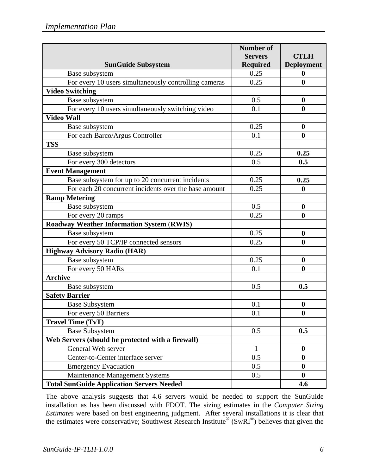|                                                       | <b>Number of</b> |                   |
|-------------------------------------------------------|------------------|-------------------|
|                                                       | <b>Servers</b>   | <b>CTLH</b>       |
| <b>SunGuide Subsystem</b>                             | <b>Required</b>  | <b>Deployment</b> |
| Base subsystem                                        | 0.25             | $\mathbf{0}$      |
| For every 10 users simultaneously controlling cameras | 0.25             | $\bf{0}$          |
| <b>Video Switching</b>                                |                  |                   |
| Base subsystem                                        | 0.5              | $\boldsymbol{0}$  |
| For every 10 users simultaneously switching video     | 0.1              | $\boldsymbol{0}$  |
| <b>Video Wall</b>                                     |                  |                   |
| Base subsystem                                        | 0.25             | $\boldsymbol{0}$  |
| For each Barco/Argus Controller                       | 0.1              | $\boldsymbol{0}$  |
| <b>TSS</b>                                            |                  |                   |
| Base subsystem                                        | 0.25             | 0.25              |
| For every 300 detectors                               | 0.5              | 0.5               |
| <b>Event Management</b>                               |                  |                   |
| Base subsystem for up to 20 concurrent incidents      | 0.25             | 0.25              |
| For each 20 concurrent incidents over the base amount | 0.25             | $\boldsymbol{0}$  |
| <b>Ramp Metering</b>                                  |                  |                   |
| Base subsystem                                        | 0.5              | $\boldsymbol{0}$  |
| For every 20 ramps                                    | 0.25             | $\boldsymbol{0}$  |
| <b>Roadway Weather Information System (RWIS)</b>      |                  |                   |
| Base subsystem                                        | 0.25             | $\boldsymbol{0}$  |
| For every 50 TCP/IP connected sensors                 | 0.25             | $\boldsymbol{0}$  |
| <b>Highway Advisory Radio (HAR)</b>                   |                  |                   |
| Base subsystem                                        | 0.25             | $\boldsymbol{0}$  |
| For every 50 HARs                                     | 0.1              | $\boldsymbol{0}$  |
| <b>Archive</b>                                        |                  |                   |
| Base subsystem                                        | 0.5              | 0.5               |
| <b>Safety Barrier</b>                                 |                  |                   |
| <b>Base Subsystem</b>                                 | 0.1              | $\boldsymbol{0}$  |
| For every 50 Barriers                                 | 0.1              | $\bf{0}$          |
| <b>Travel Time (TvT)</b>                              |                  |                   |
| <b>Base Subsystem</b>                                 | 0.5              | 0.5               |
| Web Servers (should be protected with a firewall)     |                  |                   |
| General Web server                                    | $\mathbf{1}$     | $\boldsymbol{0}$  |
| Center-to-Center interface server                     | 0.5              | $\bf{0}$          |
| <b>Emergency Evacuation</b>                           | 0.5              | $\bf{0}$          |
| Maintenance Management Systems                        | 0.5              | $\bf{0}$          |
| <b>Total SunGuide Application Servers Needed</b>      |                  | 4.6               |

The above analysis suggests that 4.6 servers would be needed to support the SunGuide installation as has been discussed with FDOT. The sizing estimates in the *Computer Sizing Estimates* were based on best engineering judgment. After several installations it is clear that the estimates were conservative; Southwest Research Institute® (SwRI®) believes that given the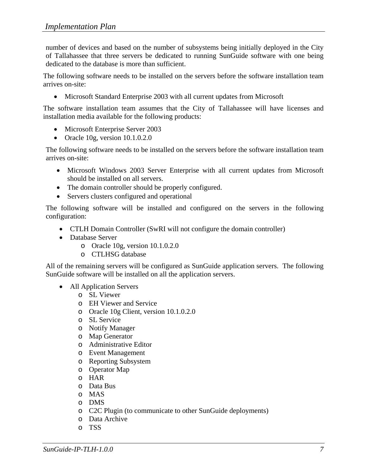number of devices and based on the number of subsystems being initially deployed in the City of Tallahassee that three servers be dedicated to running SunGuide software with one being dedicated to the database is more than sufficient.

The following software needs to be installed on the servers before the software installation team arrives on-site:

• Microsoft Standard Enterprise 2003 with all current updates from Microsoft

The software installation team assumes that the City of Tallahassee will have licenses and installation media available for the following products:

- Microsoft Enterprise Server 2003
- Oracle 10g, version 10.1.0.2.0

The following software needs to be installed on the servers before the software installation team arrives on-site:

- Microsoft Windows 2003 Server Enterprise with all current updates from Microsoft should be installed on all servers.
- The domain controller should be properly configured.
- Servers clusters configured and operational

The following software will be installed and configured on the servers in the following configuration:

- CTLH Domain Controller (SwRI will not configure the domain controller)
- Database Server
	- o Oracle 10g, version 10.1.0.2.0
	- o CTLHSG database

All of the remaining servers will be configured as SunGuide application servers. The following SunGuide software will be installed on all the application servers.

- All Application Servers
	- o SL Viewer
	- o EH Viewer and Service
	- o Oracle 10g Client, version 10.1.0.2.0
	- o SL Service
	- o Notify Manager
	- o Map Generator
	- o Administrative Editor
	- o Event Management
	- o Reporting Subsystem
	- o Operator Map
	- o HAR
	- o Data Bus
	- o MAS
	- o DMS
	- o C2C Plugin (to communicate to other SunGuide deployments)
	- o Data Archive
	- o TSS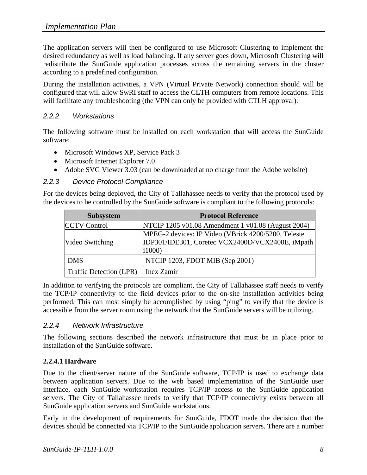The application servers will then be configured to use Microsoft Clustering to implement the desired redundancy as well as load balancing. If any server goes down, Microsoft Clustering will redistribute the SunGuide application processes across the remaining servers in the cluster according to a predefined configuration.

During the installation activities, a VPN (Virtual Private Network) connection should will be configured that will allow SwRI staff to access the CLTH computers from remote locations. This will facilitate any troubleshooting (the VPN can only be provided with CTLH approval).

#### *2.2.2 Workstations*

The following software must be installed on each workstation that will access the SunGuide software:

- Microsoft Windows XP, Service Pack 3
- Microsoft Internet Explorer 7.0
- Adobe SVG Viewer 3.03 (can be downloaded at no charge from the Adobe website)

#### *2.2.3 Device Protocol Compliance*

For the devices being deployed, the City of Tallahassee needs to verify that the protocol used by the devices to be controlled by the SunGuide software is compliant to the following protocols:

| <b>Subsystem</b>        | <b>Protocol Reference</b>                                                                                          |
|-------------------------|--------------------------------------------------------------------------------------------------------------------|
| <b>CCTV Control</b>     | NTCIP 1205 v01.08 Amendment 1 v01.08 (August 2004)                                                                 |
| Video Switching         | MPEG-2 devices: IP Video (VBrick 4200/5200, Teleste<br>[IDP301/IDE301, Coretec VCX2400D/VCX2400E, iMpath]<br>i1000 |
| <b>DMS</b>              | NTCIP 1203, FDOT MIB (Sep 2001)                                                                                    |
| Traffic Detection (LPR) | Inex Zamir                                                                                                         |

In addition to verifying the protocols are compliant, the City of Tallahassee staff needs to verify the TCP/IP connectivity to the field devices prior to the on-site installation activities being performed. This can most simply be accomplished by using "ping" to verify that the device is accessible from the server room using the network that the SunGuide servers will be utilizing.

#### *2.2.4 Network Infrastructure*

The following sections described the network infrastructure that must be in place prior to installation of the SunGuide software.

#### **2.2.4.1 Hardware**

Due to the client/server nature of the SunGuide software, TCP/IP is used to exchange data between application servers. Due to the web based implementation of the SunGuide user interface, each SunGuide workstation requires TCP/IP access to the SunGuide application servers. The City of Tallahassee needs to verify that TCP/IP connectivity exists between all SunGuide application servers and SunGuide workstations.

Early in the development of requirements for SunGuide, FDOT made the decision that the devices should be connected via TCP/IP to the SunGuide application servers. There are a number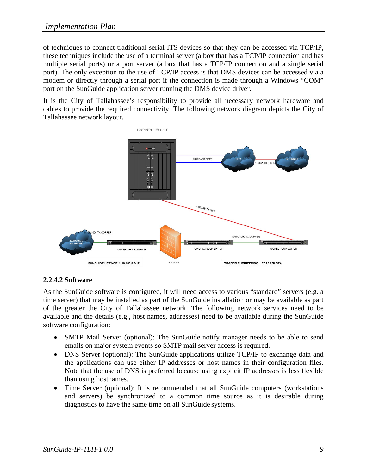of techniques to connect traditional serial ITS devices so that they can be accessed via TCP/IP, these techniques include the use of a terminal server (a box that has a TCP/IP connection and has multiple serial ports) or a port server (a box that has a TCP/IP connection and a single serial port). The only exception to the use of TCP/IP access is that DMS devices can be accessed via a modem or directly through a serial port if the connection is made through a Windows "COM" port on the SunGuide application server running the DMS device driver.

It is the City of Tallahassee's responsibility to provide all necessary network hardware and cables to provide the required connectivity. The following network diagram depicts the City of Tallahassee network layout.



#### **2.2.4.2 Software**

As the SunGuide software is configured, it will need access to various "standard" servers (e.g. a time server) that may be installed as part of the SunGuide installation or may be available as part of the greater the City of Tallahassee network. The following network services need to be available and the details (e.g., host names, addresses) need to be available during the SunGuide software configuration:

- SMTP Mail Server (optional): The SunGuide notify manager needs to be able to send emails on major system events so SMTP mail server access is required.
- DNS Server (optional): The SunGuide applications utilize TCP/IP to exchange data and the applications can use either IP addresses or host names in their configuration files. Note that the use of DNS is preferred because using explicit IP addresses is less flexible than using hostnames.
- Time Server (optional): It is recommended that all SunGuide computers (workstations and servers) be synchronized to a common time source as it is desirable during diagnostics to have the same time on all SunGuide systems.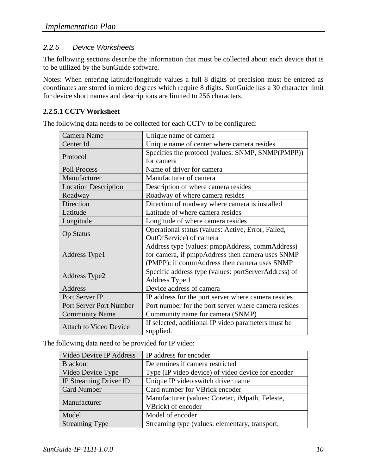#### *2.2.5 Device Worksheets*

The following sections describe the information that must be collected about each device that is to be utilized by the SunGuide software.

Notes: When entering latitude/longitude values a full 8 digits of precision must be entered as coordinates are stored in micro degrees which require 8 digits. SunGuide has a 30 character limit for device short names and descriptions are limited to 256 characters.

#### **2.2.5.1 CCTV Worksheet**

| Camera Name                   | Unique name of camera                                |
|-------------------------------|------------------------------------------------------|
| Center Id                     | Unique name of center where camera resides           |
|                               | Specifies the protocol (values: SNMP, SNMP(PMPP))    |
| Protocol                      | for camera                                           |
| <b>Poll Process</b>           | Name of driver for camera                            |
| Manufacturer                  | Manufacturer of camera                               |
| <b>Location Description</b>   | Description of where camera resides                  |
| Roadway                       | Roadway of where camera resides                      |
| Direction                     | Direction of roadway where camera is installed       |
| Latitude                      | Latitude of where camera resides                     |
| Longitude                     | Longitude of where camera resides                    |
|                               | Operational status (values: Active, Error, Failed,   |
| <b>Op Status</b>              | OutOfService) of camera                              |
|                               | Address type (values: pmppAddress, commAddress)      |
| Address Type1                 | for camera, if pmppAddress then camera uses SNMP     |
|                               | (PMPP); if commAddress then camera uses SNMP         |
| Address Type2                 | Specific address type (values: portServerAddress) of |
|                               | Address Type 1                                       |
| Address                       | Device address of camera                             |
| Port Server IP                | IP address for the port server where camera resides  |
| Port Server Port Number       | Port number for the port server where camera resides |
| <b>Community Name</b>         | Community name for camera (SNMP)                     |
| <b>Attach to Video Device</b> | If selected, additional IP video parameters must be  |
|                               | supplied.                                            |

The following data needs to be collected for each CCTV to be configured:

The following data need to be provided for IP video:

| Video Device IP Address | IP address for encoder                             |
|-------------------------|----------------------------------------------------|
| <b>Blackout</b>         | Determines if camera restricted                    |
| Video Device Type       | Type (IP video device) of video device for encoder |
| IP Streaming Driver ID  | Unique IP video switch driver name                 |
| <b>Card Number</b>      | Card number for VBrick encoder                     |
|                         | Manufacturer (values: Coretec, iMpath, Teleste,    |
| Manufacturer            | VBrick) of encoder                                 |
| Model                   | Model of encoder                                   |
| <b>Streaming Type</b>   | Streaming type (values: elementary, transport,     |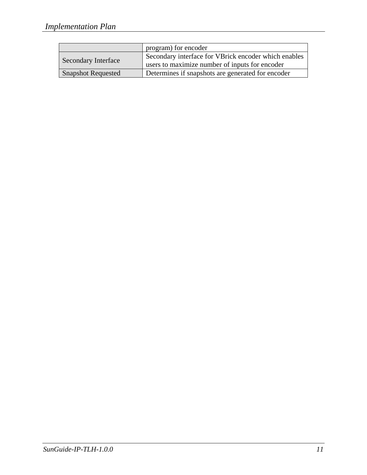|                           | program) for encoder                                 |
|---------------------------|------------------------------------------------------|
| Secondary Interface       | Secondary interface for VBrick encoder which enables |
|                           | users to maximize number of inputs for encoder       |
| <b>Snapshot Requested</b> | Determines if snapshots are generated for encoder    |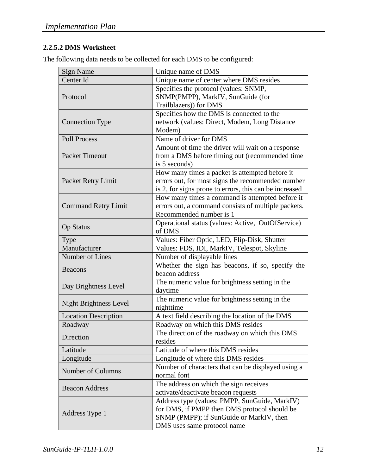### **2.2.5.2 DMS Worksheet**

The following data needs to be collected for each DMS to be configured:

| <b>Sign Name</b>              | Unique name of DMS                                     |
|-------------------------------|--------------------------------------------------------|
| Center Id                     | Unique name of center where DMS resides                |
|                               | Specifies the protocol (values: SNMP,                  |
| Protocol                      | SNMP(PMPP), MarkIV, SunGuide (for                      |
|                               | Trailblazers)) for DMS                                 |
|                               | Specifies how the DMS is connected to the              |
| <b>Connection Type</b>        | network (values: Direct, Modem, Long Distance          |
|                               | Modem)                                                 |
| Poll Process                  | Name of driver for DMS                                 |
|                               | Amount of time the driver will wait on a response      |
| <b>Packet Timeout</b>         | from a DMS before timing out (recommended time         |
|                               | is 5 seconds)                                          |
|                               | How many times a packet is attempted before it         |
| Packet Retry Limit            | errors out, for most signs the recommended number      |
|                               | is 2, for signs prone to errors, this can be increased |
|                               | How many times a command is attempted before it        |
| <b>Command Retry Limit</b>    | errors out, a command consists of multiple packets.    |
|                               | Recommended number is 1                                |
| <b>Op Status</b>              | Operational status (values: Active, OutOfService)      |
|                               | of DMS                                                 |
| <b>Type</b>                   | Values: Fiber Optic, LED, Flip-Disk, Shutter           |
| Manufacturer                  | Values: FDS, IDI, MarkIV, Telespot, Skyline            |
| Number of Lines               | Number of displayable lines                            |
| <b>Beacons</b>                | Whether the sign has beacons, if so, specify the       |
|                               | beacon address                                         |
| Day Brightness Level          | The numeric value for brightness setting in the        |
|                               | daytime                                                |
| <b>Night Brightness Level</b> | The numeric value for brightness setting in the        |
|                               | nighttime                                              |
| <b>Location Description</b>   | A text field describing the location of the DMS        |
| Roadway                       | Roadway on which this DMS resides                      |
| Direction                     | The direction of the roadway on which this DMS         |
|                               | resides                                                |
| Latitude                      | Latitude of where this DMS resides                     |
| Longitude                     | Longitude of where this DMS resides                    |
| Number of Columns             | Number of characters that can be displayed using a     |
|                               | normal font                                            |
| <b>Beacon Address</b>         | The address on which the sign receives                 |
|                               | activate/deactivate beacon requests                    |
|                               | Address type (values: PMPP, SunGuide, MarkIV)          |
| Address Type 1                | for DMS, if PMPP then DMS protocol should be           |
|                               | SNMP (PMPP); if SunGuide or MarkIV, then               |
|                               | DMS uses same protocol name                            |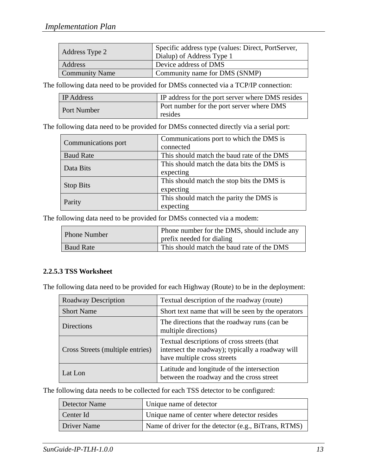| Address Type 2        | Specific address type (values: Direct, PortServer,<br>Dialup) of Address Type 1 |
|-----------------------|---------------------------------------------------------------------------------|
| Address               | Device address of DMS                                                           |
| <b>Community Name</b> | Community name for DMS (SNMP)                                                   |

The following data need to be provided for DMSs connected via a TCP/IP connection:

| <b>IP</b> Address  | IP address for the port server where DMS resides            |
|--------------------|-------------------------------------------------------------|
| <b>Port Number</b> | <b>Port number for the port server where DMS</b><br>resides |

The following data need to be provided for DMSs connected directly via a serial port:

| Communications port | Communications port to which the DMS is    |
|---------------------|--------------------------------------------|
|                     | connected                                  |
| <b>Baud Rate</b>    | This should match the baud rate of the DMS |
| Data Bits           | This should match the data bits the DMS is |
|                     | expecting                                  |
| <b>Stop Bits</b>    | This should match the stop bits the DMS is |
|                     | expecting                                  |
| Parity              | This should match the parity the DMS is    |
|                     | expecting                                  |

The following data need to be provided for DMSs connected via a modem:

| <b>Phone Number</b> | Phone number for the DMS, should include any<br>prefix needed for dialing |
|---------------------|---------------------------------------------------------------------------|
| <b>Baud Rate</b>    | This should match the baud rate of the DMS                                |

#### **2.2.5.3 TSS Worksheet**

The following data need to be provided for each Highway (Route) to be in the deployment:

| <b>Roadway Description</b>       | Textual description of the roadway (route)                                                                                     |
|----------------------------------|--------------------------------------------------------------------------------------------------------------------------------|
| <b>Short Name</b>                | Short text name that will be seen by the operators                                                                             |
| <b>Directions</b>                | The directions that the roadway runs (can be<br>multiple directions)                                                           |
| Cross Streets (multiple entries) | Textual descriptions of cross streets (that<br>intersect the roadway); typically a roadway will<br>have multiple cross streets |
| Lat Lon                          | Latitude and longitude of the intersection<br>between the roadway and the cross street                                         |

The following data needs to be collected for each TSS detector to be configured:

| Detector Name | Unique name of detector                               |
|---------------|-------------------------------------------------------|
| Center Id     | Unique name of center where detector resides          |
| Driver Name   | Name of driver for the detector (e.g., BiTrans, RTMS) |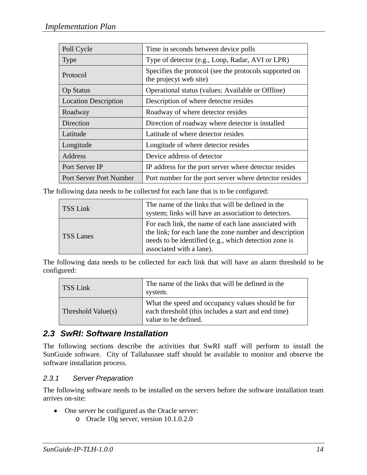| Poll Cycle                     | Time in seconds between device polls                                             |
|--------------------------------|----------------------------------------------------------------------------------|
| Type                           | Type of detector (e.g., Loop, Radar, AVI or LPR)                                 |
| Protocol                       | Specifies the protocol (see the protocols supported on<br>the projecyt web site) |
| <b>Op Status</b>               | Operational status (values: Available or Offline)                                |
| <b>Location Description</b>    | Description of where detector resides                                            |
| Roadway                        | Roadway of where detector resides                                                |
| Direction                      | Direction of roadway where detector is installed                                 |
| Latitude                       | Latitude of where detector resides                                               |
| Longitude                      | Longitude of where detector resides                                              |
| Address                        | Device address of detector                                                       |
| Port Server IP                 | IP address for the port server where detector resides                            |
| <b>Port Server Port Number</b> | Port number for the port server where detector resides                           |

The following data needs to be collected for each lane that is to be configured:

| TSS Link         | The name of the links that will be defined in the<br>system; links will have an association to detectors.                                                                                            |
|------------------|------------------------------------------------------------------------------------------------------------------------------------------------------------------------------------------------------|
| <b>TSS Lanes</b> | For each link, the name of each lane associated with<br>the link; for each lane the zone number and description<br>needs to be identified (e.g., which detection zone is<br>associated with a lane). |

The following data needs to be collected for each link that will have an alarm threshold to be configured:

| TSS Link           | The name of the links that will be defined in the<br>system.                                                                     |
|--------------------|----------------------------------------------------------------------------------------------------------------------------------|
| Threshold Value(s) | What the speed and occupancy values should be for<br>each threshold (this includes a start and end time)<br>value to be defined. |

## *2.3 SwRI: Software Installation*

The following sections describe the activities that SwRI staff will perform to install the SunGuide software. City of Tallahassee staff should be available to monitor and observe the software installation process.

#### *2.3.1 Server Preparation*

The following software needs to be installed on the servers before the software installation team arrives on-site:

- One server be configured as the Oracle server:
	- o Oracle 10g server, version 10.1.0.2.0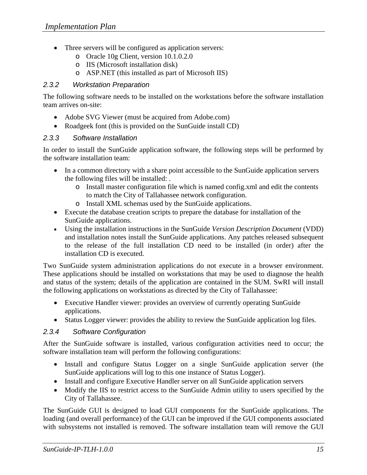- Three servers will be configured as application servers:
	- o Oracle 10g Client, version 10.1.0.2.0
	- o IIS (Microsoft installation disk)
	- o ASP.NET (this installed as part of Microsoft IIS)

#### *2.3.2 Workstation Preparation*

The following software needs to be installed on the workstations before the software installation team arrives on-site:

- Adobe SVG Viewer (must be acquired from Adobe.com)
- Roadgeek font (this is provided on the SunGuide install CD)

#### *2.3.3 Software Installation*

In order to install the SunGuide application software, the following steps will be performed by the software installation team:

- In a common directory with a share point accessible to the SunGuide application servers the following files will be installed: .
	- o Install master configuration file which is named config.xml and edit the contents to match the City of Tallahassee network configuration.
	- o Install XML schemas used by the SunGuide applications.
- Execute the database creation scripts to prepare the database for installation of the SunGuide applications.
- Using the installation instructions in the SunGuide *Version Description Document* (VDD) and installation notes install the SunGuide applications. Any patches released subsequent to the release of the full installation CD need to be installed (in order) after the installation CD is executed.

Two SunGuide system administration applications do not execute in a browser environment. These applications should be installed on workstations that may be used to diagnose the health and status of the system; details of the application are contained in the SUM. SwRI will install the following applications on workstations as directed by the City of Tallahassee:

- Executive Handler viewer: provides an overview of currently operating SunGuide applications.
- Status Logger viewer: provides the ability to review the SunGuide application log files.

#### *2.3.4 Software Configuration*

After the SunGuide software is installed, various configuration activities need to occur; the software installation team will perform the following configurations:

- Install and configure Status Logger on a single SunGuide application server (the SunGuide applications will log to this one instance of Status Logger).
- Install and configure Executive Handler server on all SunGuide application servers
- Modify the IIS to restrict access to the SunGuide Admin utility to users specified by the City of Tallahassee.

The SunGuide GUI is designed to load GUI components for the SunGuide applications. The loading (and overall performance) of the GUI can be improved if the GUI components associated with subsystems not installed is removed. The software installation team will remove the GUI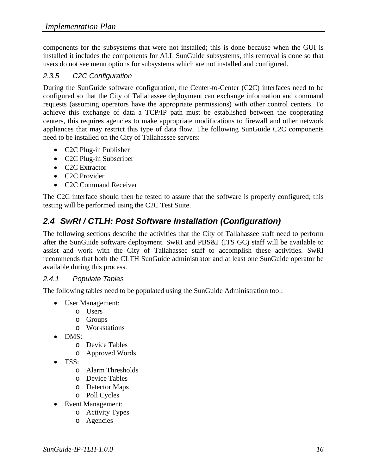components for the subsystems that were not installed; this is done because when the GUI is installed it includes the components for ALL SunGuide subsystems, this removal is done so that users do not see menu options for subsystems which are not installed and configured.

#### *2.3.5 C2C Configuration*

During the SunGuide software configuration, the Center-to-Center (C2C) interfaces need to be configured so that the City of Tallahassee deployment can exchange information and command requests (assuming operators have the appropriate permissions) with other control centers. To achieve this exchange of data a TCP/IP path must be established between the cooperating centers, this requires agencies to make appropriate modifications to firewall and other network appliances that may restrict this type of data flow. The following SunGuide C2C components need to be installed on the City of Tallahassee servers:

- C2C Plug-in Publisher
- C2C Plug-in Subscriber
- C2C Extractor
- C2C Provider
- C2C Command Receiver

The C2C interface should then be tested to assure that the software is properly configured; this testing will be performed using the C2C Test Suite.

## *2.4 SwRI / CTLH: Post Software Installation (Configuration)*

The following sections describe the activities that the City of Tallahassee staff need to perform after the SunGuide software deployment. SwRI and PBS&J (ITS GC) staff will be available to assist and work with the City of Tallahassee staff to accomplish these activities. SwRI recommends that both the CLTH SunGuide administrator and at least one SunGuide operator be available during this process.

#### *2.4.1 Populate Tables*

The following tables need to be populated using the SunGuide Administration tool:

- User Management:
	- o Users
	- o Groups
	- o Workstations
- DMS:
	- o Device Tables
	- o Approved Words
- TSS:
	- o Alarm Thresholds
	- o Device Tables
	- o Detector Maps
	- o Poll Cycles
- Event Management:
	- o Activity Types
		- o Agencies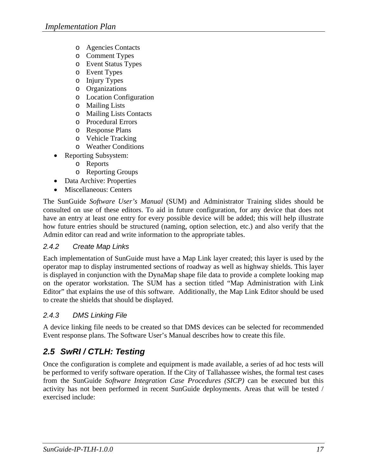- o Agencies Contacts
- o Comment Types
- o Event Status Types
- o Event Types
- o Injury Types
- o Organizations
- o Location Configuration
- o Mailing Lists
- o Mailing Lists Contacts
- o Procedural Errors
- o Response Plans
- o Vehicle Tracking
- o Weather Conditions
- Reporting Subsystem:
	- o Reports
	- o Reporting Groups
- Data Archive: Properties
- Miscellaneous: Centers

The SunGuide *Software User's Manual* (SUM) and Administrator Training slides should be consulted on use of these editors. To aid in future configuration, for any device that does not have an entry at least one entry for every possible device will be added; this will help illustrate how future entries should be structured (naming, option selection, etc.) and also verify that the Admin editor can read and write information to the appropriate tables.

#### *2.4.2 Create Map Links*

Each implementation of SunGuide must have a Map Link layer created; this layer is used by the operator map to display instrumented sections of roadway as well as highway shields. This layer is displayed in conjunction with the DynaMap shape file data to provide a complete looking map on the operator workstation. The SUM has a section titled "Map Administration with Link Editor" that explains the use of this software. Additionally, the Map Link Editor should be used to create the shields that should be displayed.

#### *2.4.3 DMS Linking File*

A device linking file needs to be created so that DMS devices can be selected for recommended Event response plans. The Software User's Manual describes how to create this file.

## *2.5 SwRI / CTLH: Testing*

Once the configuration is complete and equipment is made available, a series of ad hoc tests will be performed to verify software operation. If the City of Tallahassee wishes, the formal test cases from the SunGuide *Software Integration Case Procedures (SICP)* can be executed but this activity has not been performed in recent SunGuide deployments. Areas that will be tested / exercised include: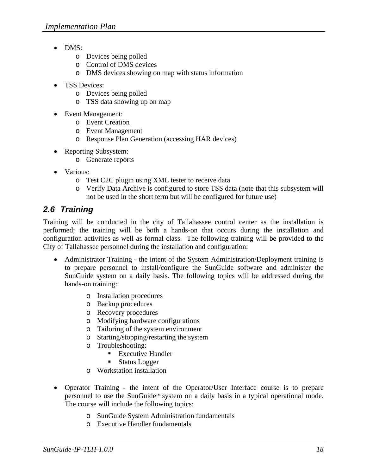- DMS:
	- o Devices being polled
	- o Control of DMS devices
	- o DMS devices showing on map with status information
- TSS Devices:
	- o Devices being polled
	- o TSS data showing up on map
- Event Management:
	- o Event Creation
	- o Event Management
	- o Response Plan Generation (accessing HAR devices)
- Reporting Subsystem:
	- o Generate reports
- Various:
	- o Test C2C plugin using XML tester to receive data
	- o Verify Data Archive is configured to store TSS data (note that this subsystem will not be used in the short term but will be configured for future use)

## *2.6 Training*

Training will be conducted in the city of Tallahassee control center as the installation is performed; the training will be both a hands-on that occurs during the installation and configuration activities as well as formal class. The following training will be provided to the City of Tallahassee personnel during the installation and configuration:

- Administrator Training the intent of the System Administration/Deployment training is to prepare personnel to install/configure the SunGuide software and administer the SunGuide system on a daily basis. The following topics will be addressed during the hands-on training:
	- o Installation procedures
	- o Backup procedures
	- o Recovery procedures
	- o Modifying hardware configurations
	- o Tailoring of the system environment
	- o Starting/stopping/restarting the system
	- o Troubleshooting:
		- Executive Handler
		- **Status Logger**
	- o Workstation installation
- Operator Training the intent of the Operator/User Interface course is to prepare personnel to use the SunGuide<sup>™</sup> system on a daily basis in a typical operational mode. The course will include the following topics:
	- o SunGuide System Administration fundamentals
	- o Executive Handler fundamentals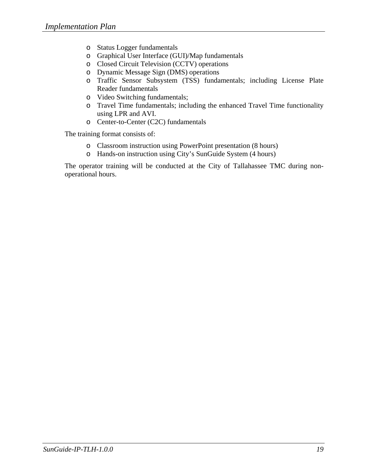- o Status Logger fundamentals
- o Graphical User Interface (GUI)/Map fundamentals
- o Closed Circuit Television (CCTV) operations
- o Dynamic Message Sign (DMS) operations
- o Traffic Sensor Subsystem (TSS) fundamentals; including License Plate Reader fundamentals
- o Video Switching fundamentals;
- o Travel Time fundamentals; including the enhanced Travel Time functionality using LPR and AVI.
- o Center-to-Center (C2C) fundamentals

The training format consists of:

- o Classroom instruction using PowerPoint presentation (8 hours)
- o Hands-on instruction using City's SunGuide System (4 hours)

The operator training will be conducted at the City of Tallahassee TMC during nonoperational hours.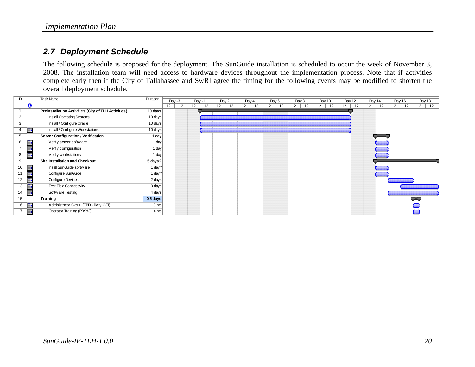## *2.7 Deployment Schedule*

The following schedule is proposed for the deployment. The SunGuide installation is scheduled to occur the week of November 3, 2008. The installation team will need access to hardware devices throughout the implementation process. Note that if activities complete early then if the City of Tallahassee and SwRI agree the timing for the following events may be modified to shorten the overall deployment schedule.